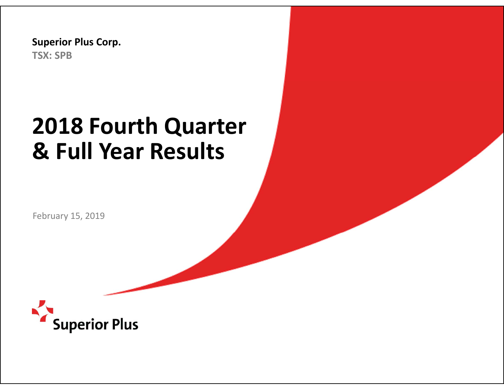**Superior Plus Corp. TSX: SPB**

# **2018 Fourth Quarter & Full Year Results**

February 15, 2019

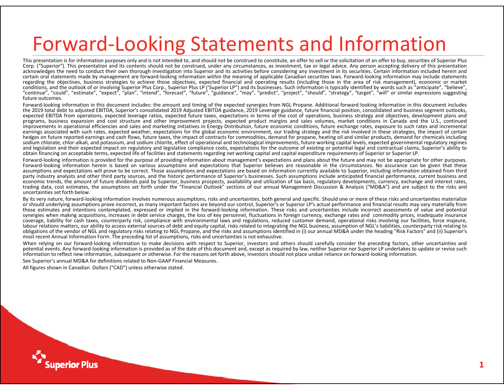## Forward ‐Looking Statements and Information

This presentation is for information purposes only and is not intended to, and should not be construed to constitute, an offer to sell or the solicitation of an offer to buy, securities of Superior Plus Corp. ("Superior"). This presentation and its contents should not be construed, under any circumstances, as investment, tax or legal advice. Any person accepting delivery of this presentation acknowledges the need to conduct their own thorough investigation into Superior and its activities before considering any investment in its securities. Certain information included herein and certain oral statements made by management are forward‐looking information within the meaning of applicable Canadian securities laws. Forward‐looking information may include statements regarding the objectives, business strategies to achieve those objectives, expected financial and operating results (including those in the area of risk management), economic or market conditions, and the outlook of or involving Superior Plus Corp., Superior Plus LP ('Superior LP") and its businesses. Such information is typically identified by words such as "anticipate", "believe", "continue", "could", "estimate", "expect", "plan", "intend", "forecast", "future", "guidance", "may", "predict", "project", "should", "strategy", "target", "will" or similar expressions suggesting future outcomes.

Forward-looking information in this document includes: the amount and timing of the expected synergies from NGL Propane. Additional forward looking information in this document includes the 2019 total debt to adjusted EBITDA, Superior's consolidated 2019 Adjusted EBITDA guidance, 2019 Leverage guidance, future financial position, consolidated and business segment outlooks, expected EBITDA from operations, expected leverage ratios, expected future taxes, expectations in terms of the cost of operations, business strategy and objectives, development plans and programs, business expansion and cost structure and other improvement projects, expected product margins and sales volumes, market conditions in Canada and the U.S., continued improvements in operational efficiencies and sales and marketing initiatives in Energy Distribution, future economic conditions, future exchange rates, exposure to such rates and incremental earnings associated with such rates, expected weather, expectations for the global economic environment, our trading strategy and the risk involved in these strategies, the impact of certain hedges on future reported earnings and cash flows, future taxes, the impact of contracts for commodities, demand for propane, heating oil and similar products, demand for chemicals including sodium chlorate, chlor-alkali, and potassium, and sodium chlorite, effect of operational and technological improvements, future working capital levels, expected governmental regulatory regimes and legislation and their expected impact on regulatory and legislative compliance costs, expectations for the outcome of existing or potential legal and contractual claims, Superior's ability to obtain financing on acceptable terms, expected life of facilities and statements regarding net working capital and capital expenditure requirements of Superior or Superior LP.

Forward-looking information is provided for the purpose of providing information about management's expectations and plans about the future and may not be appropriate for other purposes. Forward-looking information herein is based on various assumptions and expectations that Superior believes are reasonable in the circumstances. No assurance can be given that these assumptions and expectations will prove to be correct. Those assumptions and expectations are based on information currently available to Superior, including information obtained from third party industry analysts and other third party sources, and the historic performance of Superior's businesses. Such assumptions include anticipated financial performance, current business and economic trends, the amount of future dividends paid by Superior, business prospects, availability and utilization of tax basis, regulatory developments, currency, exchange and interest rates, trading data, cost estimates, the assumptions set forth under the "Financial Outlook" sections of our annual Management Discussion & Analysis ("MD&A") and are subject to the risks and uncertainties set forth below.

By its very nature, forward-looking information involves numerous assumptions, risks and uncertainties, both general and specific. Should one or more of these risks and uncertainties materialize or should underlying assumptions prove incorrect, as many important factors are beyond our control, Superior's or Superior LP's actual performance and financial results may vary materially from those estimates and intentions contemplated, expressed or implied in the forward‐looking information. These risks and uncertainties include incorrect assessments of value and potential synergies when making acquisitions, increases in debt service charges, the loss of key personnel, fluctuations in foreign currency, exchange rates and commodity prices, inadequate insurance coverage, liability for cash taxes, counterparty risk, compliance with environmental laws and regulations, reduced customer demand, operational risks involving our facilities, force majeure, labour relations matters, our ability to access external sources of debt and equity capital, risks related to integrating the NGL business, assumption of NGL's liabilities, counterparty risk relating to obligations of the vendor of NGL and regulatory risks relating to NGL Propane, and the risks and assumptions identified in (i) our annual MD&A under the heading "Risk Factors" and (ii) Superior's most recent Annual Information Form. The preceding list of assumptions, risks and uncertainties is not exhaustive.

When relying on our forward-looking information to make decisions with respect to Superior, investors and others should carefully consider the preceding factors, other uncertainties and potential events. Any forward-looking information is provided as of the date of this document and, except as required by law, neither Superior nor Superior LP undertakes to update or revise such information to reflect new information, subsequent or otherwise. For the reasons set forth above, investors should not place undue reliance on forward‐looking information.

See Superior's annual MD&A for definitions related to Non‐GAAP Financial Measures.

All figures shown in Canadian Dollars ("CAD") unless otherwise stated.

**iuperior Plus**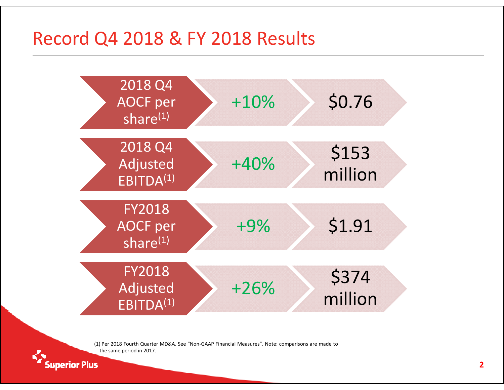### Record Q4 2018 & FY 2018 Results



(1) Per 2018 Fourth Quarter MD&A. See "Non‐GAAP Financial Measures". Note: comparisons are made to the same period in 2017.

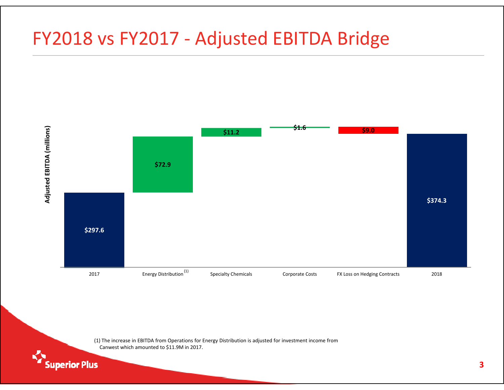### FY2018 vs FY2017 ‐ Adjusted EBITDA Bridge



(1) The increase in EBITDA from Operations for Energy Distribution is adjusted for investment income from Canwest which amounted to \$11.9M in 2017.

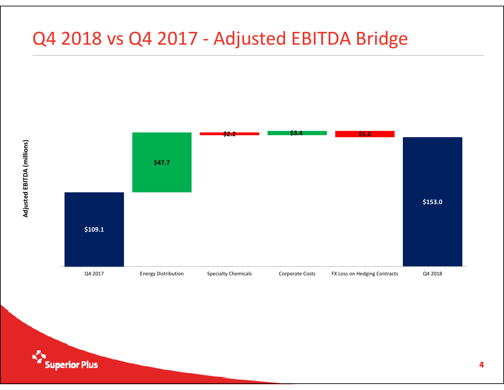### Q4 2018 vs Q4 2017 - Adjusted EBITDA Bridge



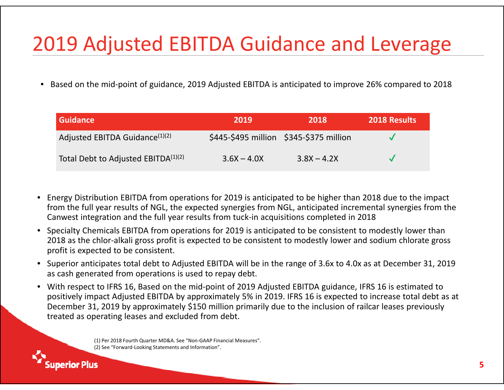## 2019 Adjusted EBITDA Guidance and Leverage

•● Based on the mid-point of guidance, 2019 Adjusted EBITDA is anticipated to improve 26% compared to 2018

| <b>Guidance</b>                                 | 2019          | 2018                                    | <b>2018 Results</b> |
|-------------------------------------------------|---------------|-----------------------------------------|---------------------|
| Adjusted EBITDA Guidance <sup>(1)(2)</sup>      |               | \$445-\$495 million \$345-\$375 million |                     |
| Total Debt to Adjusted EBITDA <sup>(1)(2)</sup> | $3.6X - 4.0X$ | $3.8X - 4.2X$                           |                     |

- $\bullet$  Energy Distribution EBITDA from operations for 2019 is anticipated to be higher than 2018 due to the impact from the full year results of NGL, the expected synergies from NGL, anticipated incremental synergies from the Canwest integration and the full year results from tuck‐in acquisitions completed in 2018
- $\bullet$  Specialty Chemicals EBITDA from operations for 2019 is anticipated to be consistent to modestly lower than 2018 as the chlor‐alkali gross profit is expected to be consistent to modestly lower and sodium chlorate gross profit is expected to be consistent.
- Superior anticipates total debt to Adjusted EBITDA will be in the range of 3.6x to 4.0x as at December 31, 2019 as cash generated from operations is used to repay debt.
- $\bullet$  With respect to IFRS 16, Based on the mid‐point of 2019 Adjusted EBITDA guidance, IFRS 16 is estimated to positively impact Adjusted EBITDA by approximately 5% in 2019. IFRS 16 is expected to increase total debt as at December 31, 2019 by approximately \$150 million primarily due to the inclusion of railcar leases previously treated as operating leases and excluded from debt.

(1) Per 2018 Fourth Quarter MD&A. See "Non‐GAAP Financial Measures". (2) See "Forward‐Looking Statements and Information".